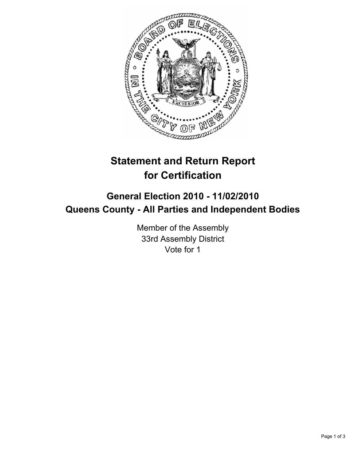

## **Statement and Return Report for Certification**

## **General Election 2010 - 11/02/2010 Queens County - All Parties and Independent Bodies**

Member of the Assembly 33rd Assembly District Vote for 1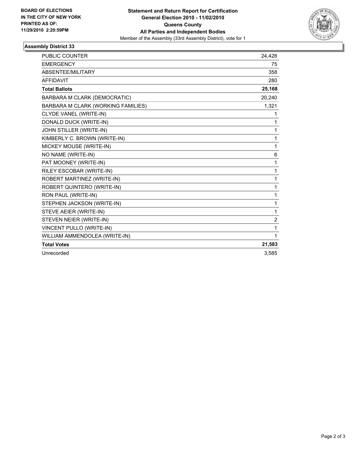

## **Assembly District 33**

| <b>PUBLIC COUNTER</b>              | 24,428         |
|------------------------------------|----------------|
| <b>EMERGENCY</b>                   | 75             |
| <b>ABSENTEE/MILITARY</b>           | 358            |
| <b>AFFIDAVIT</b>                   | 280            |
| <b>Total Ballots</b>               | 25,168         |
| BARBARA M CLARK (DEMOCRATIC)       | 20,240         |
| BARBARA M CLARK (WORKING FAMILIES) | 1,321          |
| CLYDE VANEL (WRITE-IN)             | 1              |
| DONALD DUCK (WRITE-IN)             | 1              |
| JOHN STILLER (WRITE-IN)            | 1              |
| KIMBERLY C. BROWN (WRITE-IN)       | 1              |
| MICKEY MOUSE (WRITE-IN)            | 1              |
| NO NAME (WRITE-IN)                 | 6              |
| PAT MOONEY (WRITE-IN)              | 1              |
| RILEY ESCOBAR (WRITE-IN)           | $\mathbf{1}$   |
| ROBERT MARTINEZ (WRITE-IN)         | 1              |
| ROBERT QUINTERO (WRITE-IN)         | $\mathbf{1}$   |
| RON PAUL (WRITE-IN)                | 1              |
| STEPHEN JACKSON (WRITE-IN)         | 1              |
| STEVE AEIER (WRITE-IN)             | 1              |
| STEVEN NEIER (WRITE-IN)            | $\overline{2}$ |
| VINCENT PULLO (WRITE-IN)           | 1              |
| WILLIAM AMMENDOLEA (WRITE-IN)      | 1              |
| <b>Total Votes</b>                 | 21,583         |
| Unrecorded                         | 3,585          |